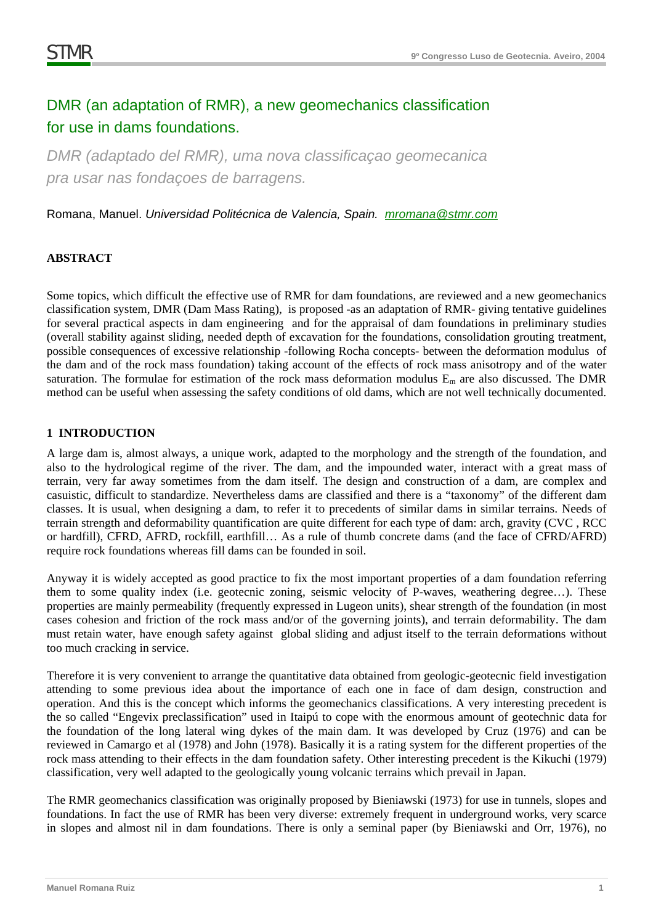# DMR (an adaptation of RMR), a new geomechanics classification for use in dams foundations.

*DMR (adaptado del RMR), uma nova classificaçao geomecanica pra usar nas fondaçoes de barragens.* 

Romana, Manuel. *Universidad Politécnica de Valencia, Spain. mromana@stmr.com*

## **ABSTRACT**

Some topics, which difficult the effective use of RMR for dam foundations, are reviewed and a new geomechanics classification system, DMR (Dam Mass Rating), is proposed -as an adaptation of RMR- giving tentative guidelines for several practical aspects in dam engineering and for the appraisal of dam foundations in preliminary studies (overall stability against sliding, needed depth of excavation for the foundations, consolidation grouting treatment, possible consequences of excessive relationship -following Rocha concepts- between the deformation modulus of the dam and of the rock mass foundation) taking account of the effects of rock mass anisotropy and of the water saturation. The formulae for estimation of the rock mass deformation modulus  $E_m$  are also discussed. The DMR method can be useful when assessing the safety conditions of old dams, which are not well technically documented.

### **1 INTRODUCTION**

A large dam is, almost always, a unique work, adapted to the morphology and the strength of the foundation, and also to the hydrological regime of the river. The dam, and the impounded water, interact with a great mass of terrain, very far away sometimes from the dam itself. The design and construction of a dam, are complex and casuistic, difficult to standardize. Nevertheless dams are classified and there is a "taxonomy" of the different dam classes. It is usual, when designing a dam, to refer it to precedents of similar dams in similar terrains. Needs of terrain strength and deformability quantification are quite different for each type of dam: arch, gravity (CVC , RCC or hardfill), CFRD, AFRD, rockfill, earthfill… As a rule of thumb concrete dams (and the face of CFRD/AFRD) require rock foundations whereas fill dams can be founded in soil.

Anyway it is widely accepted as good practice to fix the most important properties of a dam foundation referring them to some quality index (i.e. geotecnic zoning, seismic velocity of P-waves, weathering degree…). These properties are mainly permeability (frequently expressed in Lugeon units), shear strength of the foundation (in most cases cohesion and friction of the rock mass and/or of the governing joints), and terrain deformability. The dam must retain water, have enough safety against global sliding and adjust itself to the terrain deformations without too much cracking in service.

Therefore it is very convenient to arrange the quantitative data obtained from geologic-geotecnic field investigation attending to some previous idea about the importance of each one in face of dam design, construction and operation. And this is the concept which informs the geomechanics classifications. A very interesting precedent is the so called "Engevix preclassification" used in Itaipú to cope with the enormous amount of geotechnic data for the foundation of the long lateral wing dykes of the main dam. It was developed by Cruz (1976) and can be reviewed in Camargo et al (1978) and John (1978). Basically it is a rating system for the different properties of the rock mass attending to their effects in the dam foundation safety. Other interesting precedent is the Kikuchi (1979) classification, very well adapted to the geologically young volcanic terrains which prevail in Japan.

The RMR geomechanics classification was originally proposed by Bieniawski (1973) for use in tunnels, slopes and foundations. In fact the use of RMR has been very diverse: extremely frequent in underground works, very scarce in slopes and almost nil in dam foundations. There is only a seminal paper (by Bieniawski and Orr, 1976), no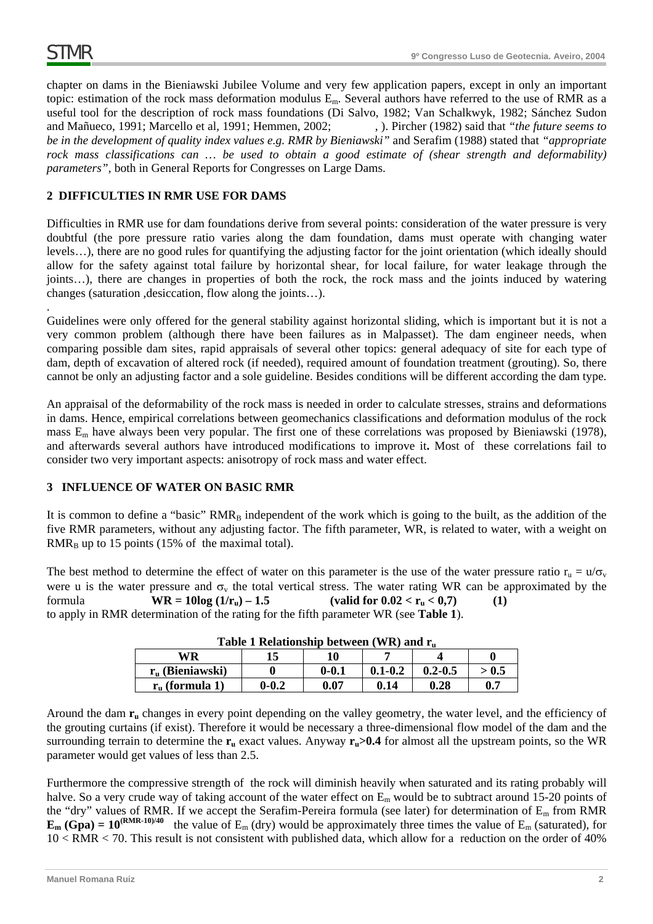.

chapter on dams in the Bieniawski Jubilee Volume and very few application papers, except in only an important topic: estimation of the rock mass deformation modulus Em. Several authors have referred to the use of RMR as a useful tool for the description of rock mass foundations (Di Salvo, 1982; Van Schalkwyk, 1982; Sánchez Sudon and Mañueco, 1991; Marcello et al, 1991; Hemmen, 2002; , ). Pircher (1982) said that "the future seems to *be in the development of quality index values e.g. RMR by Bieniawski"* and Serafim (1988) stated that *"appropriate*  rock mass classifications can ... be used to obtain a good estimate of (shear strength and deformability) *parameters"*, both in General Reports for Congresses on Large Dams.

# **2 DIFFICULTIES IN RMR USE FOR DAMS**

Difficulties in RMR use for dam foundations derive from several points: consideration of the water pressure is very doubtful (the pore pressure ratio varies along the dam foundation, dams must operate with changing water levels…), there are no good rules for quantifying the adjusting factor for the joint orientation (which ideally should allow for the safety against total failure by horizontal shear, for local failure, for water leakage through the joints…), there are changes in properties of both the rock, the rock mass and the joints induced by watering changes (saturation ,desiccation, flow along the joints…).

Guidelines were only offered for the general stability against horizontal sliding, which is important but it is not a very common problem (although there have been failures as in Malpasset). The dam engineer needs, when comparing possible dam sites, rapid appraisals of several other topics: general adequacy of site for each type of dam, depth of excavation of altered rock (if needed), required amount of foundation treatment (grouting). So, there cannot be only an adjusting factor and a sole guideline. Besides conditions will be different according the dam type.

An appraisal of the deformability of the rock mass is needed in order to calculate stresses, strains and deformations in dams. Hence, empirical correlations between geomechanics classifications and deformation modulus of the rock mass Em have always been very popular. The first one of these correlations was proposed by Bieniawski (1978), and afterwards several authors have introduced modifications to improve it**.** Most of these correlations fail to consider two very important aspects: anisotropy of rock mass and water effect.

### **3 INFLUENCE OF WATER ON BASIC RMR**

It is common to define a "basic"  $RMR_B$  independent of the work which is going to the built, as the addition of the five RMR parameters, without any adjusting factor. The fifth parameter, WR, is related to water, with a weight on  $RMR<sub>B</sub>$  up to 15 points (15% of the maximal total).

The best method to determine the effect of water on this parameter is the use of the water pressure ratio  $r_u = u/\sigma_v$ were u is the water pressure and  $\sigma_v$  the total vertical stress. The water rating WR can be approximated by the formula **WR** =  $10\log(1/r_n) - 1.5$  (valid for  $0.02 < r_n < 0.7$ ) (1) to apply in RMR determination of the rating for the fifth parameter WR (see **Table 1**).

| <b>Table 1 Relationship between</b> (VVR) and I <sub>n</sub> |           |           |             |             |       |  |
|--------------------------------------------------------------|-----------|-----------|-------------|-------------|-------|--|
| WR<br>10                                                     |           |           |             |             |       |  |
| $r_{\rm u}$ (Bieniawski)                                     |           | $0 - 0.1$ | $0.1 - 0.2$ | $0.2 - 0.5$ | > 0.5 |  |
| $r_{\rm u}$ (formula 1)                                      | $0 - 0.2$ | 0.07      | 0.14        | 0.28        | 0.7   |  |

Around the dam  $r_u$  changes in every point depending on the valley geometry, the water level, and the efficiency of the grouting curtains (if exist). Therefore it would be necessary a three-dimensional flow model of the dam and the surrounding terrain to determine the  $r_u$  exact values. Anyway  $r_u > 0.4$  for almost all the upstream points, so the WR parameter would get values of less than 2.5.

Furthermore the compressive strength of the rock will diminish heavily when saturated and its rating probably will halve. So a very crude way of taking account of the water effect on E<sub>m</sub> would be to subtract around 15-20 points of the "dry" values of RMR. If we accept the Serafim-Pereira formula (see later) for determination of Em from RMR  $\mathbf{E}_{\text{m}}$  (Gpa) = 10<sup>(RMR-10)/40</sup> the value of  $E_{\text{m}}$  (dry) would be approximately three times the value of  $E_{\text{m}}$  (saturated), for 10 < RMR < 70. This result is not consistent with published data, which allow for a reduction on the order of 40%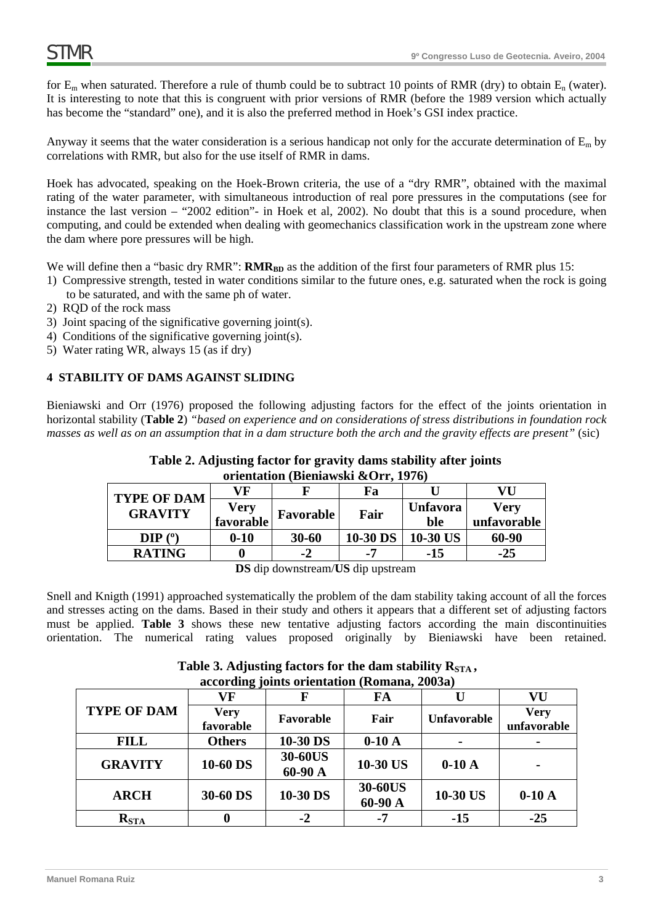for  $E_m$  when saturated. Therefore a rule of thumb could be to subtract 10 points of RMR (dry) to obtain  $E_n$  (water). It is interesting to note that this is congruent with prior versions of RMR (before the 1989 version which actually has become the "standard" one), and it is also the preferred method in Hoek's GSI index practice.

Anyway it seems that the water consideration is a serious handicap not only for the accurate determination of  $E_m$  by correlations with RMR, but also for the use itself of RMR in dams.

Hoek has advocated, speaking on the Hoek-Brown criteria, the use of a "dry RMR", obtained with the maximal rating of the water parameter, with simultaneous introduction of real pore pressures in the computations (see for instance the last version – "2002 edition"- in Hoek et al, 2002). No doubt that this is a sound procedure, when computing, and could be extended when dealing with geomechanics classification work in the upstream zone where the dam where pore pressures will be high.

We will define then a "basic dry RMR":  $RMR_{BD}$  as the addition of the first four parameters of RMR plus 15:

- 1) Compressive strength, tested in water conditions similar to the future ones, e.g. saturated when the rock is going to be saturated, and with the same ph of water.
- 2) RQD of the rock mass
- 3) Joint spacing of the significative governing joint(s).
- 4) Conditions of the significative governing joint(s).
- 5) Water rating WR, always 15 (as if dry)

## **4 STABILITY OF DAMS AGAINST SLIDING**

Bieniawski and Orr (1976) proposed the following adjusting factors for the effect of the joints orientation in horizontal stability (**Table 2**) *"based on experience and on considerations of stress distributions in foundation rock masses as well as on an assumption that in a dam structure both the arch and the gravity effects are present"* (sic)

| Table 2. Adjusting factor for gravity dams stability after joints |  |
|-------------------------------------------------------------------|--|
| orientation (Bieniawski &Orr, 1976)                               |  |

| <b>TYPE OF DAM</b> | VF        |                  | Fa             |                 | VU          |
|--------------------|-----------|------------------|----------------|-----------------|-------------|
| <b>GRAVITY</b>     | Very      | <b>Favorable</b> | Fair           | <b>Unfavora</b> | Very        |
|                    | favorable |                  |                | ble             | unfavorable |
| DIP(°)             | $0 - 10$  | $30 - 60$        | 10-30 DS       | 10-30 US        | 60-90       |
| <b>RATING</b>      |           | -2               | $\blacksquare$ | -15             | $-25$       |

**DS** dip downstream/**US** dip upstream

Snell and Knigth (1991) approached systematically the problem of the dam stability taking account of all the forces and stresses acting on the dams. Based in their study and others it appears that a different set of adjusting factors must be applied. **Table 3** shows these new tentative adjusting factors according the main discontinuities orientation. The numerical rating values proposed originally by Bieniawski have been retained.

> Table 3. Adjusting factors for the dam stability R<sub>STA</sub>, **according joints orientation (Romana, 2003a)**

|                    | $\frac{1}{2}$ |                |          |                    |             |  |
|--------------------|---------------|----------------|----------|--------------------|-------------|--|
|                    | VF            |                | FA       |                    | VU          |  |
| <b>TYPE OF DAM</b> | <b>Very</b>   | Favorable      | Fair     | <b>Unfavorable</b> | <b>Very</b> |  |
|                    | favorable     |                |          |                    | unfavorable |  |
| <b>FILL</b>        | <b>Others</b> | 10-30 DS       | $0-10A$  |                    |             |  |
| <b>GRAVITY</b>     | 10-60 DS      | <b>30-60US</b> | 10-30 US | $0-10A$            |             |  |
|                    |               | 60-90 A        |          |                    |             |  |
|                    |               |                | 30-60US  |                    |             |  |
| <b>ARCH</b>        | 30-60 DS      | 10-30 DS       | 60-90 A  | 10-30 US           | $0-10A$     |  |
| $R_{\rm STA}$      |               | $-2$           | -7       | $-15$              | $-25$       |  |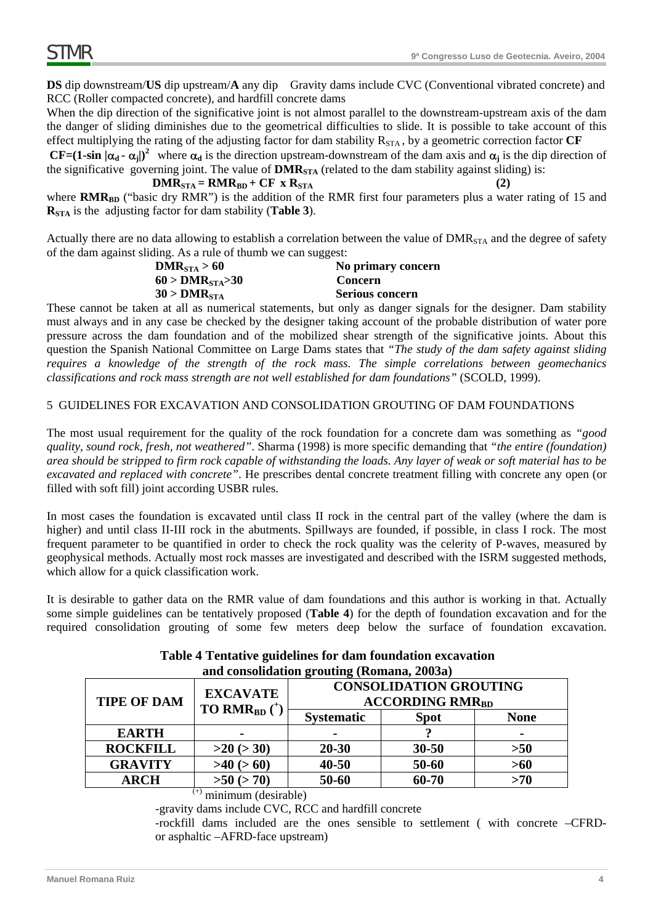**DS** dip downstream/**US** dip upstream/**A** any dip Gravity dams include CVC (Conventional vibrated concrete) and RCC (Roller compacted concrete), and hardfill concrete dams

When the dip direction of the significative joint is not almost parallel to the downstream-upstream axis of the dam the danger of sliding diminishes due to the geometrical difficulties to slide. It is possible to take account of this effect multiplying the rating of the adjusting factor for dam stability  $R_{STA}$ , by a geometric correction factor  $CF$ 

**CF=(1-sin**  $|\alpha_d - \alpha_i|$ )<sup>2</sup> where  $\alpha_d$  is the direction upstream-downstream of the dam axis and  $\alpha_i$  is the dip direction of the significative governing joint. The value of  $DMR<sub>STA</sub>$  (related to the dam stability against sliding) is:

 $\text{DMR}_{\text{STA}} = \text{RMR}_{\text{BD}} + \text{CF} \times \text{R}_{\text{STA}}$  (2)

where **RMR**<sub>BD</sub> ("basic dry RMR") is the addition of the RMR first four parameters plus a water rating of 15 and **RSTA** is the adjusting factor for dam stability (**Table 3**).

Actually there are no data allowing to establish a correlation between the value of DMR<sub>STA</sub> and the degree of safety of the dam against sliding. As a rule of thumb we can suggest:

| DMR <sub>STA</sub> > 60             | No primary concern     |
|-------------------------------------|------------------------|
| $60 > \text{DMR}_{\text{STA}} > 30$ | Concern                |
| $30 > \text{DMR}_{\text{STA}}$      | <b>Serious concern</b> |

These cannot be taken at all as numerical statements, but only as danger signals for the designer. Dam stability must always and in any case be checked by the designer taking account of the probable distribution of water pore pressure across the dam foundation and of the mobilized shear strength of the significative joints. About this question the Spanish National Committee on Large Dams states that *"The study of the dam safety against sliding requires a knowledge of the strength of the rock mass. The simple correlations between geomechanics classifications and rock mass strength are not well established for dam foundations"* (SCOLD, 1999).

## 5 GUIDELINES FOR EXCAVATION AND CONSOLIDATION GROUTING OF DAM FOUNDATIONS

The most usual requirement for the quality of the rock foundation for a concrete dam was something as *"good quality, sound rock, fresh, not weathered"*. Sharma (1998) is more specific demanding that *"the entire (foundation) area should be stripped to firm rock capable of withstanding the loads. Any layer of weak or soft material has to be excavated and replaced with concrete"*. He prescribes dental concrete treatment filling with concrete any open (or filled with soft fill) joint according USBR rules.

In most cases the foundation is excavated until class II rock in the central part of the valley (where the dam is higher) and until class II-III rock in the abutments. Spillways are founded, if possible, in class I rock. The most frequent parameter to be quantified in order to check the rock quality was the celerity of P-waves, measured by geophysical methods. Actually most rock masses are investigated and described with the ISRM suggested methods, which allow for a quick classification work.

It is desirable to gather data on the RMR value of dam foundations and this author is working in that. Actually some simple guidelines can be tentatively proposed (**Table 4**) for the depth of foundation excavation and for the required consolidation grouting of some few meters deep below the surface of foundation excavation.

| and consolidation grouting (Romana, 2003a) |                                                        |                                                                    |             |                |  |
|--------------------------------------------|--------------------------------------------------------|--------------------------------------------------------------------|-------------|----------------|--|
| <b>TIPE OF DAM</b>                         | <b>EXCAVATE</b><br><b>TO RMR</b> <sub>BD</sub> $(^{+}$ | <b>CONSOLIDATION GROUTING</b><br><b>ACCORDING RMR<sub>BD</sub></b> |             |                |  |
|                                            |                                                        | <b>Systematic</b>                                                  | <b>Spot</b> | <b>None</b>    |  |
| <b>EARTH</b>                               | -                                                      | -                                                                  |             | $\blacksquare$ |  |
| <b>ROCKFILL</b>                            | $>20$ ( $>30$ )                                        | $20 - 30$                                                          | $30 - 50$   | >50            |  |
| <b>GRAVITY</b>                             | $>40$ ( $>60$ )                                        | $40 - 50$                                                          | 50-60       | $>60$          |  |
| <b>ARCH</b>                                | $>50$ ( $>70$ )                                        | 50-60                                                              | 60-70       | >70            |  |

# **Table 4 Tentative guidelines for dam foundation excavation and consolidation grouting (Romana, 2003a)**

 $^{(+)}$  minimum (desirable)

-gravity dams include CVC, RCC and hardfill concrete

-rockfill dams included are the ones sensible to settlement ( with concrete –CFRDor asphaltic –AFRD-face upstream)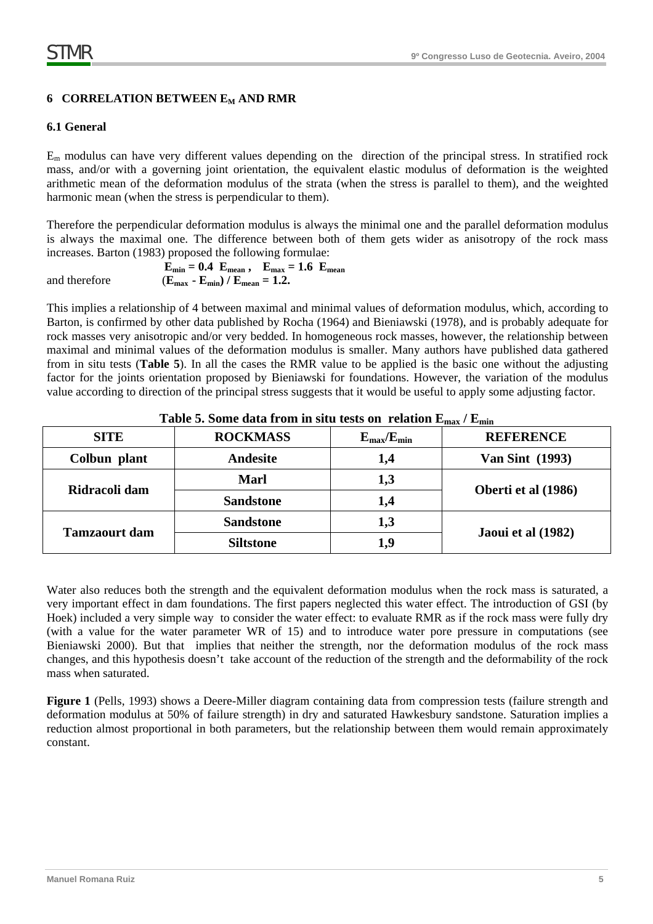# **6 CORRELATION BETWEEN E<sub>M</sub> AND RMR**

# **6.1 General**

 $E<sub>m</sub>$  modulus can have very different values depending on the direction of the principal stress. In stratified rock mass, and/or with a governing joint orientation, the equivalent elastic modulus of deformation is the weighted arithmetic mean of the deformation modulus of the strata (when the stress is parallel to them), and the weighted harmonic mean (when the stress is perpendicular to them).

Therefore the perpendicular deformation modulus is always the minimal one and the parallel deformation modulus is always the maximal one. The difference between both of them gets wider as anisotropy of the rock mass increases. Barton (1983) proposed the following formulae:

 $E_{\text{min}} = 0.4$   $E_{\text{mean}}$ ,  $E_{\text{max}} = 1.6$   $E_{\text{mean}}$ and therefore  $(E_{\text{max}} - E_{\text{min}}) / E_{\text{mean}} = 1.2$ .

This implies a relationship of 4 between maximal and minimal values of deformation modulus, which, according to Barton, is confirmed by other data published by Rocha (1964) and Bieniawski (1978), and is probably adequate for rock masses very anisotropic and/or very bedded. In homogeneous rock masses, however, the relationship between maximal and minimal values of the deformation modulus is smaller. Many authors have published data gathered from in situ tests (**Table 5**). In all the cases the RMR value to be applied is the basic one without the adjusting factor for the joints orientation proposed by Bieniawski for foundations. However, the variation of the modulus value according to direction of the principal stress suggests that it would be useful to apply some adjusting factor.

| <b>SITE</b>          | <b>ROCKMASS</b>  | $E_{\rm max}/E_{\rm min}$ | <b>REFERENCE</b>       |
|----------------------|------------------|---------------------------|------------------------|
| Colbun plant         | Andesite         | 1,4                       | <b>Van Sint</b> (1993) |
| Ridracoli dam        | <b>Marl</b>      | 1,3                       | Oberti et al (1986)    |
|                      | <b>Sandstone</b> | 1,4                       |                        |
| <b>Tamzaourt dam</b> | <b>Sandstone</b> | 1,3                       |                        |
|                      | <b>Siltstone</b> | 1.9                       | Jaoui et al (1982)     |

**Table 5. Some data from in situ tests on relation Emax / Emin**

Water also reduces both the strength and the equivalent deformation modulus when the rock mass is saturated, a very important effect in dam foundations. The first papers neglected this water effect. The introduction of GSI (by Hoek) included a very simple way to consider the water effect: to evaluate RMR as if the rock mass were fully dry (with a value for the water parameter WR of 15) and to introduce water pore pressure in computations (see Bieniawski 2000). But that implies that neither the strength, nor the deformation modulus of the rock mass changes, and this hypothesis doesn't take account of the reduction of the strength and the deformability of the rock mass when saturated.

**Figure 1** (Pells, 1993) shows a Deere-Miller diagram containing data from compression tests (failure strength and deformation modulus at 50% of failure strength) in dry and saturated Hawkesbury sandstone. Saturation implies a reduction almost proportional in both parameters, but the relationship between them would remain approximately constant.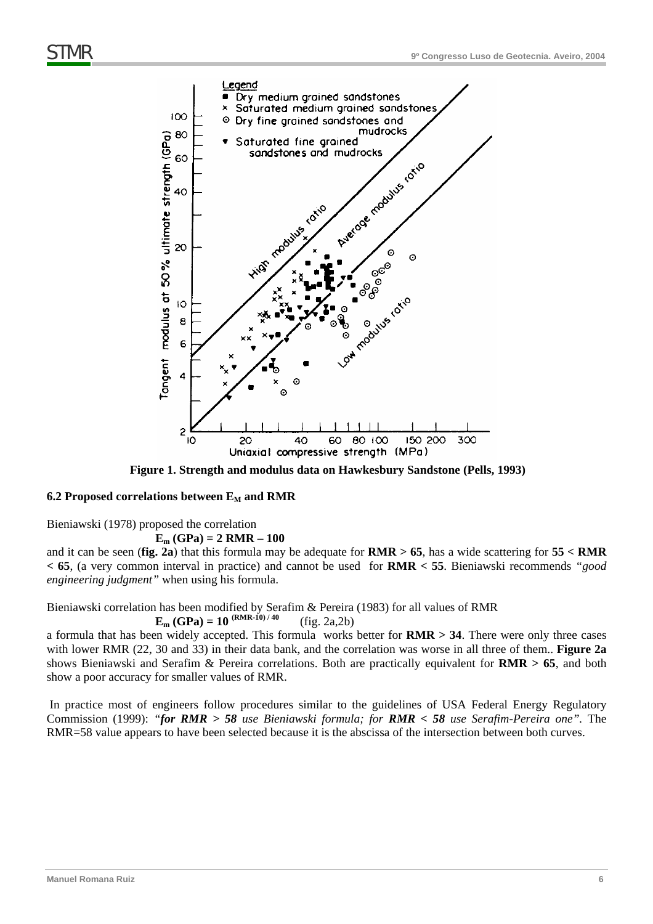

**Figure 1. Strength and modulus data on Hawkesbury Sandstone (Pells, 1993)** 

#### 6.2 Proposed correlations between E<sub>M</sub> and RMR

Bieniawski (1978) proposed the correlation

 $E_m$  (GPa) = 2 RMR – 100

and it can be seen (**fig. 2a**) that this formula may be adequate for **RMR > 65**, has a wide scattering for **55 < RMR < 65**, (a very common interval in practice) and cannot be used for **RMR < 55**. Bieniawski recommends *"good engineering judgment"* when using his formula.

Bieniawski correlation has been modified by Serafim & Pereira (1983) for all values of RMR  $E_m$  (GPa) = 10  $^{(RMR-10)/40}$  (fig. 2a,2b)

a formula that has been widely accepted. This formula works better for **RMR > 34**. There were only three cases with lower RMR (22, 30 and 33) in their data bank, and the correlation was worse in all three of them.. **Figure 2a** shows Bieniawski and Serafim & Pereira correlations. Both are practically equivalent for **RMR > 65**, and both show a poor accuracy for smaller values of RMR.

 In practice most of engineers follow procedures similar to the guidelines of USA Federal Energy Regulatory Commission (1999): *"for RMR > 58 use Bieniawski formula; for RMR < 58 use Serafim-Pereira one".* The RMR=58 value appears to have been selected because it is the abscissa of the intersection between both curves.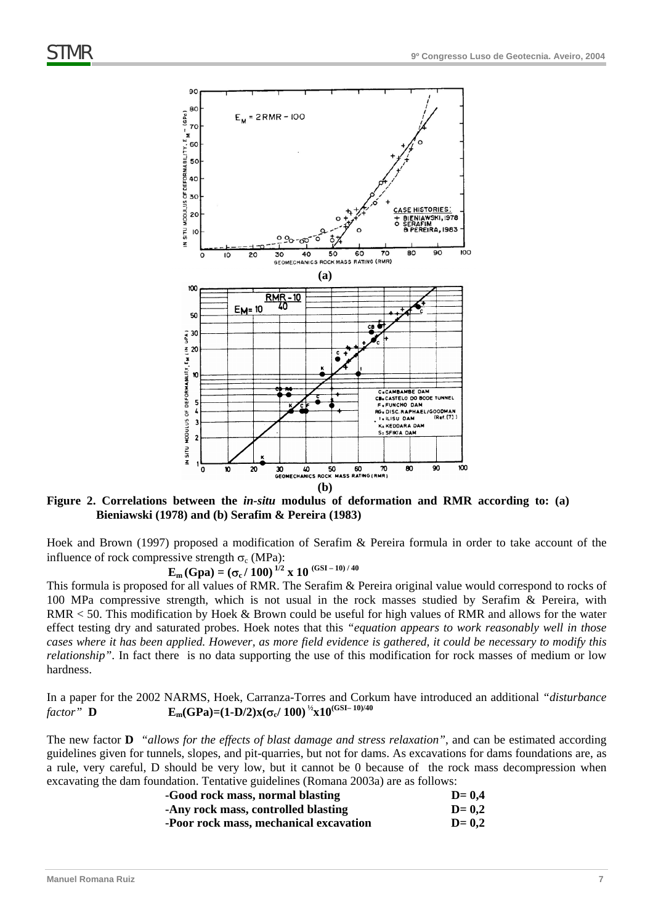

**Figure 2. Correlations between the** *in-situ* **modulus of deformation and RMR according to: (a) Bieniawski (1978) and (b) Serafim & Pereira (1983)** 

Hoek and Brown (1997) proposed a modification of Serafim & Pereira formula in order to take account of the influence of rock compressive strength  $\sigma_c$  (MPa):

**E<sub>m</sub>** (Gpa) =  $(\sigma_c / 100)^{1/2}$  x 10 (GSI-10)/40

This formula is proposed for all values of RMR. The Serafim & Pereira original value would correspond to rocks of 100 MPa compressive strength, which is not usual in the rock masses studied by Serafim & Pereira, with RMR < 50. This modification by Hoek & Brown could be useful for high values of RMR and allows for the water effect testing dry and saturated probes. Hoek notes that this *"equation appears to work reasonably well in those cases where it has been applied. However, as more field evidence is gathered, it could be necessary to modify this relationship"*. In fact there is no data supporting the use of this modification for rock masses of medium or low hardness.

In a paper for the 2002 NARMS, Hoek, Carranza-Torres and Corkum have introduced an additional *"disturbance factor*" **D**  $E_m(GPa) = (1-D/2)x(\sigma_c/100)^{1/2}x10^{(GSI-10)/40}$ 

The new factor **D** *"allows for the effects of blast damage and stress relaxation"*, and can be estimated according guidelines given for tunnels, slopes, and pit-quarries, but not for dams. As excavations for dams foundations are, as a rule, very careful, D should be very low, but it cannot be 0 because of the rock mass decompression when excavating the dam foundation. Tentative guidelines (Romana 2003a) are as follows:

| -Good rock mass, normal blasting       | $D=0.4$ |
|----------------------------------------|---------|
| -Any rock mass, controlled blasting    | $D=0.2$ |
| -Poor rock mass, mechanical excavation | $D=0,2$ |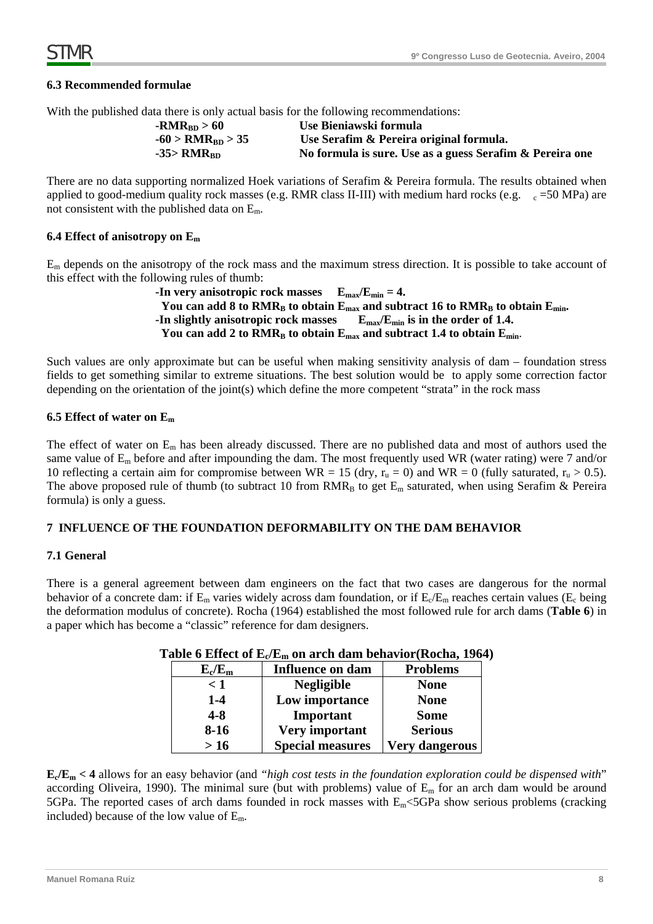### **6.3 Recommended formulae**

With the published data there is only actual basis for the following recommendations:

| $-RMR_{RD} > 60$         | Use Bieniawski formula                                   |
|--------------------------|----------------------------------------------------------|
| $-60 > RMR_{BD} > 35$    | Use Serafim & Pereira original formula.                  |
| $-35>$ RMR <sub>BD</sub> | No formula is sure. Use as a guess Serafim & Pereira one |

There are no data supporting normalized Hoek variations of Serafim & Pereira formula. The results obtained when applied to good-medium quality rock masses (e.g. RMR class II-III) with medium hard rocks (e.g.  $c = 50 \text{ MPa}$ ) are not consistent with the published data on Em.

#### **6.4 Effect of anisotropy on Em**

Em depends on the anisotropy of the rock mass and the maximum stress direction. It is possible to take account of this effect with the following rules of thumb:

```
-In very anisotropic rock masses E_{\text{max}}/E_{\text{min}} = 4.
 You can add 8 to RMR<sub>B</sub> to obtain E<sub>max</sub> and subtract 16 to RMR<sub>B</sub> to obtain E<sub>min</sub>.
-In slightly anisotropic rock masses E_{\text{max}}/E_{\text{min}} is in the order of 1.4.
 You can add 2 to RMR<sub>B</sub> to obtain E<sub>max</sub> and subtract 1.4 to obtain E<sub>min</sub>.
```
Such values are only approximate but can be useful when making sensitivity analysis of dam – foundation stress fields to get something similar to extreme situations. The best solution would be to apply some correction factor depending on the orientation of the joint(s) which define the more competent "strata" in the rock mass

#### **6.5 Effect of water on Em**

The effect of water on Em has been already discussed. There are no published data and most of authors used the same value of Em before and after impounding the dam. The most frequently used WR (water rating) were 7 and/or 10 reflecting a certain aim for compromise between WR = 15 (dry,  $r_u = 0$ ) and WR = 0 (fully saturated,  $r_u > 0.5$ ). The above proposed rule of thumb (to subtract 10 from  $RMR_B$  to get  $E_m$  saturated, when using Serafim & Pereira formula) is only a guess.

#### **7 INFLUENCE OF THE FOUNDATION DEFORMABILITY ON THE DAM BEHAVIOR**

#### **7.1 General**

There is a general agreement between dam engineers on the fact that two cases are dangerous for the normal behavior of a concrete dam: if  $E_m$  varies widely across dam foundation, or if  $E_c/E_m$  reaches certain values ( $E_c$  being the deformation modulus of concrete). Rocha (1964) established the most followed rule for arch dams (**Table 6**) in a paper which has become a "classic" reference for dam designers.

| $E_c/E_m$ | <b>Influence on dam</b> | <b>Problems</b>       |
|-----------|-------------------------|-----------------------|
| $\leq 1$  | <b>Negligible</b>       | <b>None</b>           |
| $1-4$     | Low importance          | <b>None</b>           |
| $4 - 8$   | Important               | <b>Some</b>           |
| $8-16$    | Very important          | <b>Serious</b>        |
| >16       | <b>Special measures</b> | <b>Very dangerous</b> |

**Table 6 Effect of Ec/Em on arch dam behavior(Rocha, 1964)** 

**Ec/Em < 4** allows for an easy behavior (and *"high cost tests in the foundation exploration could be dispensed with*" according Oliveira, 1990). The minimal sure (but with problems) value of  $E_m$  for an arch dam would be around 5GPa. The reported cases of arch dams founded in rock masses with  $E_m$  <5GPa show serious problems (cracking included) because of the low value of  $E_m$ .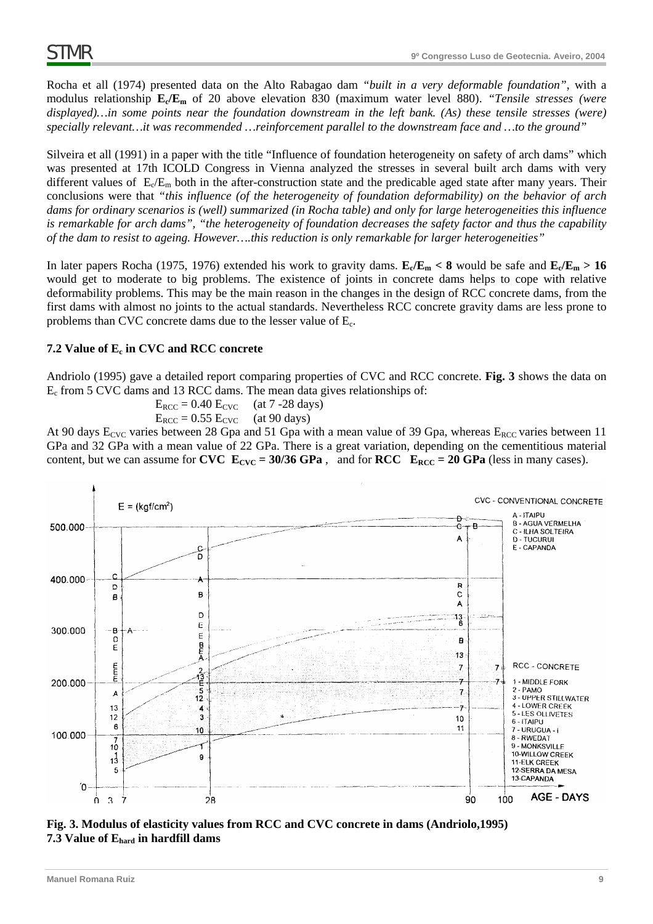Rocha et all (1974) presented data on the Alto Rabagao dam *"built in a very deformable foundation"*, with a modulus relationship **Ec/Em** of 20 above elevation 830 (maximum water level 880). *"Tensile stresses (were displayed)…in some points near the foundation downstream in the left bank. (As) these tensile stresses (were) specially relevant…it was recommended …reinforcement parallel to the downstream face and …to the ground"*

Silveira et all (1991) in a paper with the title "Influence of foundation heterogeneity on safety of arch dams" which was presented at 17th ICOLD Congress in Vienna analyzed the stresses in several built arch dams with very different values of  $E_c/E_m$  both in the after-construction state and the predicable aged state after many years. Their conclusions were that *"this influence (of the heterogeneity of foundation deformability) on the behavior of arch dams for ordinary scenarios is (well) summarized (in Rocha table) and only for large heterogeneities this influence is remarkable for arch dams", "the heterogeneity of foundation decreases the safety factor and thus the capability of the dam to resist to ageing. However….this reduction is only remarkable for larger heterogeneities"* 

In later papers Rocha (1975, 1976) extended his work to gravity dams.  $E_c/E_m < 8$  would be safe and  $E_c/E_m > 16$ would get to moderate to big problems. The existence of joints in concrete dams helps to cope with relative deformability problems. This may be the main reason in the changes in the design of RCC concrete dams, from the first dams with almost no joints to the actual standards. Nevertheless RCC concrete gravity dams are less prone to problems than CVC concrete dams due to the lesser value of Ec.

## 7.2 Value of  $E_c$  in CVC and RCC concrete

Andriolo (1995) gave a detailed report comparing properties of CVC and RCC concrete. **Fig. 3** shows the data on Ec from 5 CVC dams and 13 RCC dams. The mean data gives relationships of:

> $E_{RCC} = 0.40 E_{CVC}$  (at 7 -28 days)  $E_{RCC} = 0.55 E_{CVC}$  (at 90 days)

At 90 days  $E_{\text{CVC}}$  varies between 28 Gpa and 51 Gpa with a mean value of 39 Gpa, whereas  $E_{\text{RCC}}$  varies between 11 GPa and 32 GPa with a mean value of 22 GPa. There is a great variation, depending on the cementitious material content, but we can assume for **CVC**  $E_{\text{CVC}} = 30/36$  GPa, and for **RCC**  $E_{\text{RCC}} = 20$  GPa (less in many cases).



**Fig. 3. Modulus of elasticity values from RCC and CVC concrete in dams (Andriolo,1995) 7.3 Value of Ehard in hardfill dams**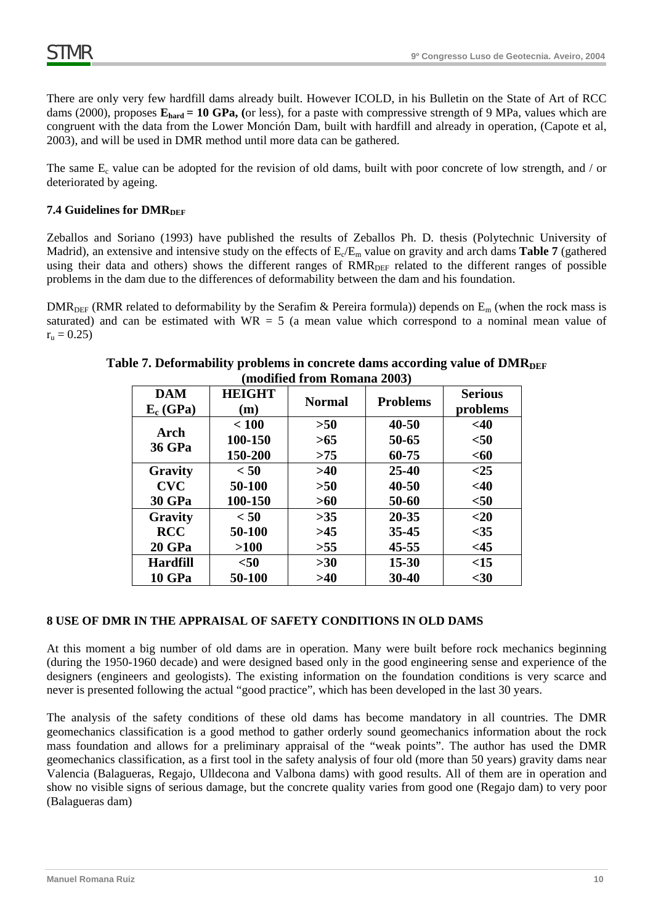There are only very few hardfill dams already built. However ICOLD, in his Bulletin on the State of Art of RCC dams (2000), proposes  $\mathbf{E_{hard}} = 10$  GPa, (or less), for a paste with compressive strength of 9 MPa, values which are congruent with the data from the Lower Monción Dam, built with hardfill and already in operation, (Capote et al, 2003), and will be used in DMR method until more data can be gathered.

The same  $E_c$  value can be adopted for the revision of old dams, built with poor concrete of low strength, and / or deteriorated by ageing.

# **7.4 Guidelines for DMR**DEF

Zeballos and Soriano (1993) have published the results of Zeballos Ph. D. thesis (Polytechnic University of Madrid), an extensive and intensive study on the effects of  $E_c/E_m$  value on gravity and arch dams **Table 7** (gathered using their data and others) shows the different ranges of RMR<sub>DEF</sub> related to the different ranges of possible problems in the dam due to the differences of deformability between the dam and his foundation.

DMR<sub>DEF</sub> (RMR related to deformability by the Serafim & Pereira formula)) depends on  $E_m$  (when the rock mass is saturated) and can be estimated with  $WR = 5$  (a mean value which correspond to a nominal mean value of  $r_{\rm u} = 0.25$ )

| mounteu n'om réditions soul- |                      |               |                 |                            |  |
|------------------------------|----------------------|---------------|-----------------|----------------------------|--|
| <b>DAM</b><br>$E_c$ (GPa)    | <b>HEIGHT</b><br>(m) | <b>Normal</b> | <b>Problems</b> | <b>Serious</b><br>problems |  |
|                              | < 100                | >50           | 40-50           | $<$ 40                     |  |
| <b>Arch</b>                  | 100-150              | >65           | 50-65           | $50$                       |  |
| <b>36 GPa</b>                | 150-200              | >75           | 60-75           | $60$                       |  |
| Gravity                      | < 50                 | >40           | $25 - 40$       | $<$ 25                     |  |
| <b>CVC</b>                   | 50-100               | >50           | $40 - 50$       | $<$ 40                     |  |
| <b>30 GPa</b>                | 100-150              | >60           | 50-60           | $50$                       |  |
| Gravity                      | < 50                 | >35           | $20 - 35$       | $20$                       |  |
| <b>RCC</b>                   | 50-100               | >45           | $35 - 45$       | $<$ 35                     |  |
| <b>20 GPa</b>                | >100                 | >55           | $45 - 55$       | <45                        |  |
| <b>Hardfill</b>              | $50$                 | $>30$         | $15 - 30$       | <15                        |  |
| <b>10 GPa</b>                | 50-100               | >40           | 30-40           | $30$                       |  |

# **Table 7. Deformability problems in concrete dams according value of DMR (modified from Romana 2003)**

### **8 USE OF DMR IN THE APPRAISAL OF SAFETY CONDITIONS IN OLD DAMS**

At this moment a big number of old dams are in operation. Many were built before rock mechanics beginning (during the 1950-1960 decade) and were designed based only in the good engineering sense and experience of the designers (engineers and geologists). The existing information on the foundation conditions is very scarce and never is presented following the actual "good practice", which has been developed in the last 30 years.

The analysis of the safety conditions of these old dams has become mandatory in all countries. The DMR geomechanics classification is a good method to gather orderly sound geomechanics information about the rock mass foundation and allows for a preliminary appraisal of the "weak points". The author has used the DMR geomechanics classification, as a first tool in the safety analysis of four old (more than 50 years) gravity dams near Valencia (Balagueras, Regajo, Ulldecona and Valbona dams) with good results. All of them are in operation and show no visible signs of serious damage, but the concrete quality varies from good one (Regajo dam) to very poor (Balagueras dam)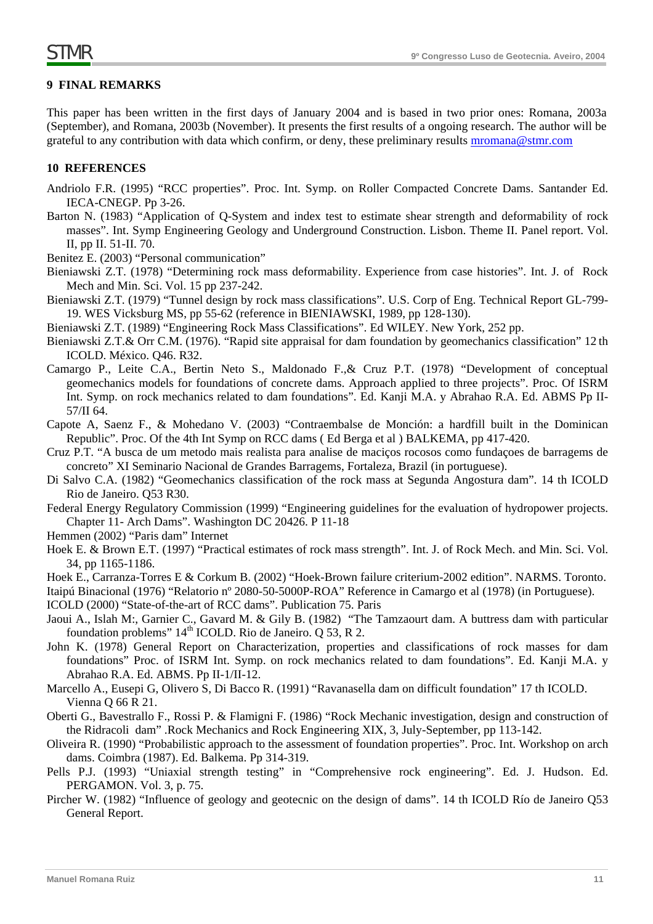### **9 FINAL REMARKS**

This paper has been written in the first days of January 2004 and is based in two prior ones: Romana, 2003a (September), and Romana, 2003b (November). It presents the first results of a ongoing research. The author will be grateful to any contribution with data which confirm, or deny, these preliminary results mromana@stmr.com

### **10 REFERENCES**

- Andriolo F.R. (1995) "RCC properties". Proc. Int. Symp. on Roller Compacted Concrete Dams. Santander Ed. IECA-CNEGP. Pp 3-26.
- Barton N. (1983) "Application of Q-System and index test to estimate shear strength and deformability of rock masses". Int. Symp Engineering Geology and Underground Construction. Lisbon. Theme II. Panel report. Vol. II, pp II. 51-II. 70.
- Benitez E. (2003) "Personal communication"
- Bieniawski Z.T. (1978) "Determining rock mass deformability. Experience from case histories". Int. J. of Rock Mech and Min. Sci. Vol. 15 pp 237-242.
- Bieniawski Z.T. (1979) "Tunnel design by rock mass classifications". U.S. Corp of Eng. Technical Report GL-799- 19. WES Vicksburg MS, pp 55-62 (reference in BIENIAWSKI, 1989, pp 128-130).
- Bieniawski Z.T. (1989) "Engineering Rock Mass Classifications". Ed WILEY. New York, 252 pp.
- Bieniawski Z.T.& Orr C.M. (1976). "Rapid site appraisal for dam foundation by geomechanics classification" 12 th ICOLD. México. Q46. R32.
- Camargo P., Leite C.A., Bertin Neto S., Maldonado F.,& Cruz P.T. (1978) "Development of conceptual geomechanics models for foundations of concrete dams. Approach applied to three projects". Proc. Of ISRM Int. Symp. on rock mechanics related to dam foundations". Ed. Kanji M.A. y Abrahao R.A. Ed. ABMS Pp II-57/II 64.
- Capote A, Saenz F., & Mohedano V. (2003) "Contraembalse de Monción: a hardfill built in the Dominican Republic". Proc. Of the 4th Int Symp on RCC dams ( Ed Berga et al ) BALKEMA, pp 417-420.
- Cruz P.T. "A busca de um metodo mais realista para analise de maciços rocosos como fundaçoes de barragems de concreto" XI Seminario Nacional de Grandes Barragems, Fortaleza, Brazil (in portuguese).
- Di Salvo C.A. (1982) "Geomechanics classification of the rock mass at Segunda Angostura dam". 14 th ICOLD Rio de Janeiro. Q53 R30.
- Federal Energy Regulatory Commission (1999) "Engineering guidelines for the evaluation of hydropower projects. Chapter 11- Arch Dams". Washington DC 20426. P 11-18
- Hemmen (2002) "Paris dam" Internet
- Hoek E. & Brown E.T. (1997) "Practical estimates of rock mass strength". Int. J. of Rock Mech. and Min. Sci. Vol. 34, pp 1165-1186.
- Hoek E., Carranza-Torres E & Corkum B. (2002) "Hoek-Brown failure criterium-2002 edition". NARMS. Toronto.
- Itaipú Binacional (1976) "Relatorio nº 2080-50-5000P-ROA" Reference in Camargo et al (1978) (in Portuguese).
- ICOLD (2000) "State-of-the-art of RCC dams". Publication 75. Paris
- Jaoui A., Islah M:, Garnier C., Gavard M. & Gily B. (1982) "The Tamzaourt dam. A buttress dam with particular foundation problems"  $14<sup>th</sup>$  ICOLD. Rio de Janeiro. O 53, R 2.
- John K. (1978) General Report on Characterization, properties and classifications of rock masses for dam foundations" Proc. of ISRM Int. Symp. on rock mechanics related to dam foundations". Ed. Kanji M.A. y Abrahao R.A. Ed. ABMS. Pp II-1/II-12.
- Marcello A., Eusepi G, Olivero S, Di Bacco R. (1991) "Ravanasella dam on difficult foundation" 17 th ICOLD. Vienna Q 66 R 21.
- Oberti G., Bavestrallo F., Rossi P. & Flamigni F. (1986) "Rock Mechanic investigation, design and construction of the Ridracoli dam" .Rock Mechanics and Rock Engineering XIX, 3, July-September, pp 113-142.
- Oliveira R. (1990) "Probabilistic approach to the assessment of foundation properties". Proc. Int. Workshop on arch dams. Coimbra (1987). Ed. Balkema. Pp 314-319.
- Pells P.J. (1993) "Uniaxial strength testing" in "Comprehensive rock engineering". Ed. J. Hudson. Ed. PERGAMON. Vol. 3, p. 75.
- Pircher W. (1982) "Influence of geology and geotecnic on the design of dams". 14 th ICOLD Río de Janeiro Q53 General Report.